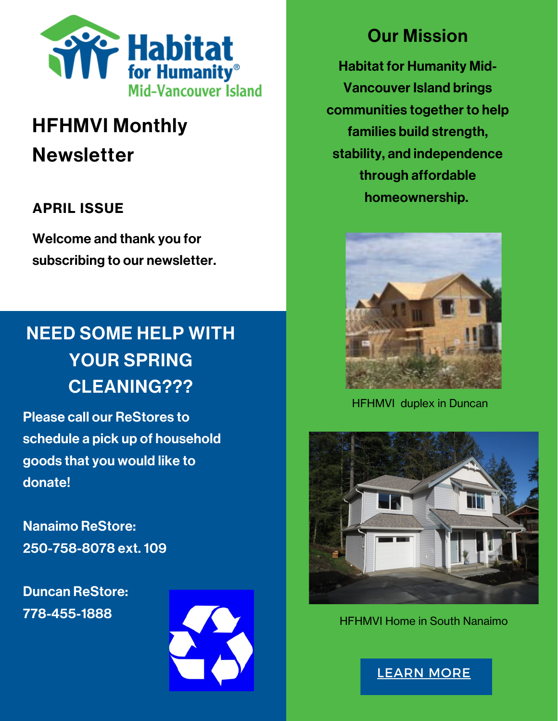

# HFHMVI Monthly **Newsletter**

### APRIL ISSUE

Welcome and thank you for subscribing to our newsletter.

## NEED SOME HELP WITH YOUR SPRING CLEANING???

Please call our ReStores to schedule a pick up of household goods that you would like to donate!

Nanaimo ReStore: 250-758-8078 ext. 109

Duncan ReStore: 778-455-1888



### Our Mission

Habitat for Humanity Mid-Vancouver Island brings communities together to help families build strength, stability, and independence through affordable homeownership.



HFHMVI duplex in Duncan



HFHMVI Home in South Nanaimo

[LEARN](https://www.habitatmvi.org/donating-household-goods/) MORE